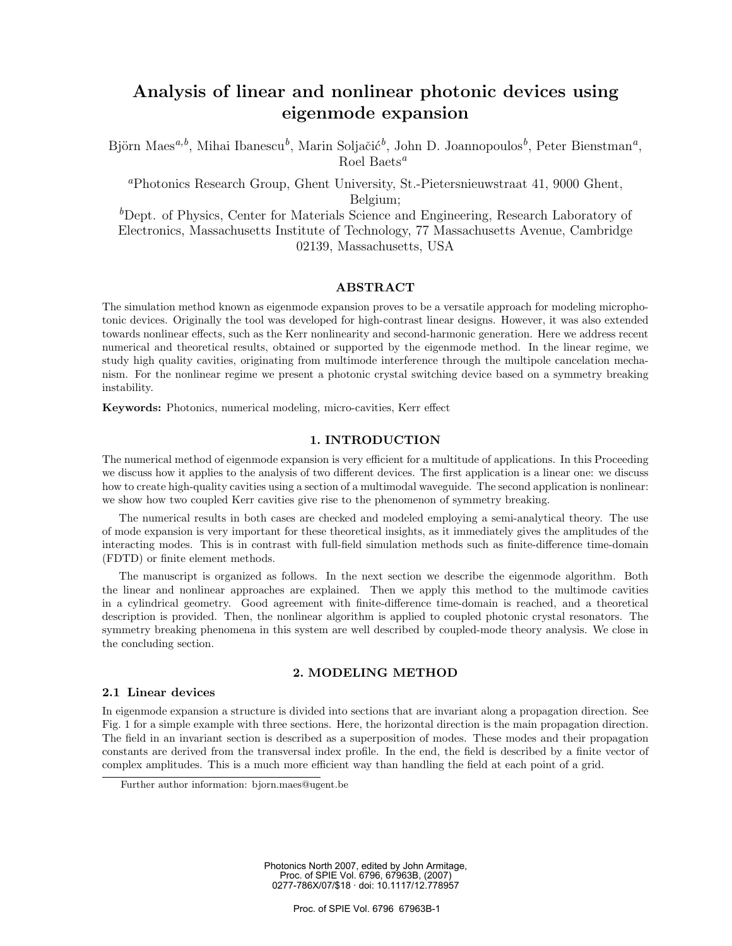# **Analysis of linear and nonlinear photonic devices using eigenmode expansion**

Björn Maes<sup>a,b</sup>, Mihai Ibanescu<sup>b</sup>, Marin Soljačić<sup>b</sup>, John D. Joannopoulos<sup>b</sup>, Peter Bienstman<sup>a</sup>, Roel Baets<sup>a</sup>

<sup>a</sup>Photonics Research Group, Ghent University, St.-Pietersnieuwstraat 41, 9000 Ghent, Belgium;

 $b$ Dept. of Physics, Center for Materials Science and Engineering, Research Laboratory of Electronics, Massachusetts Institute of Technology, 77 Massachusetts Avenue, Cambridge 02139, Massachusetts, USA

#### **ABSTRACT**

The simulation method known as eigenmode expansion proves to be a versatile approach for modeling microphotonic devices. Originally the tool was developed for high-contrast linear designs. However, it was also extended towards nonlinear effects, such as the Kerr nonlinearity and second-harmonic generation. Here we address recent numerical and theoretical results, obtained or supported by the eigenmode method. In the linear regime, we study high quality cavities, originating from multimode interference through the multipole cancelation mechanism. For the nonlinear regime we present a photonic crystal switching device based on a symmetry breaking instability.

**Keywords:** Photonics, numerical modeling, micro-cavities, Kerr effect

### **1. INTRODUCTION**

The numerical method of eigenmode expansion is very efficient for a multitude of applications. In this Proceeding we discuss how it applies to the analysis of two different devices. The first application is a linear one: we discuss how to create high-quality cavities using a section of a multimodal waveguide. The second application is nonlinear: we show how two coupled Kerr cavities give rise to the phenomenon of symmetry breaking.

The numerical results in both cases are checked and modeled employing a semi-analytical theory. The use of mode expansion is very important for these theoretical insights, as it immediately gives the amplitudes of the interacting modes. This is in contrast with full-field simulation methods such as finite-difference time-domain (FDTD) or finite element methods.

The manuscript is organized as follows. In the next section we describe the eigenmode algorithm. Both the linear and nonlinear approaches are explained. Then we apply this method to the multimode cavities in a cylindrical geometry. Good agreement with finite-difference time-domain is reached, and a theoretical description is provided. Then, the nonlinear algorithm is applied to coupled photonic crystal resonators. The symmetry breaking phenomena in this system are well described by coupled-mode theory analysis. We close in the concluding section.

### **2. MODELING METHOD**

#### **2.1 Linear devices**

In eigenmode expansion a structure is divided into sections that are invariant along a propagation direction. See Fig. 1 for a simple example with three sections. Here, the horizontal direction is the main propagation direction. The field in an invariant section is described as a superposition of modes. These modes and their propagation constants are derived from the transversal index profile. In the end, the field is described by a finite vector of complex amplitudes. This is a much more efficient way than handling the field at each point of a grid.

Photonics North 2007, edited by John Armitage, Proc. of SPIE Vol. 6796, 67963B, (2007) 0277-786X/07/\$18 · doi: 10.1117/12.778957

Further author information: bjorn.maes@ugent.be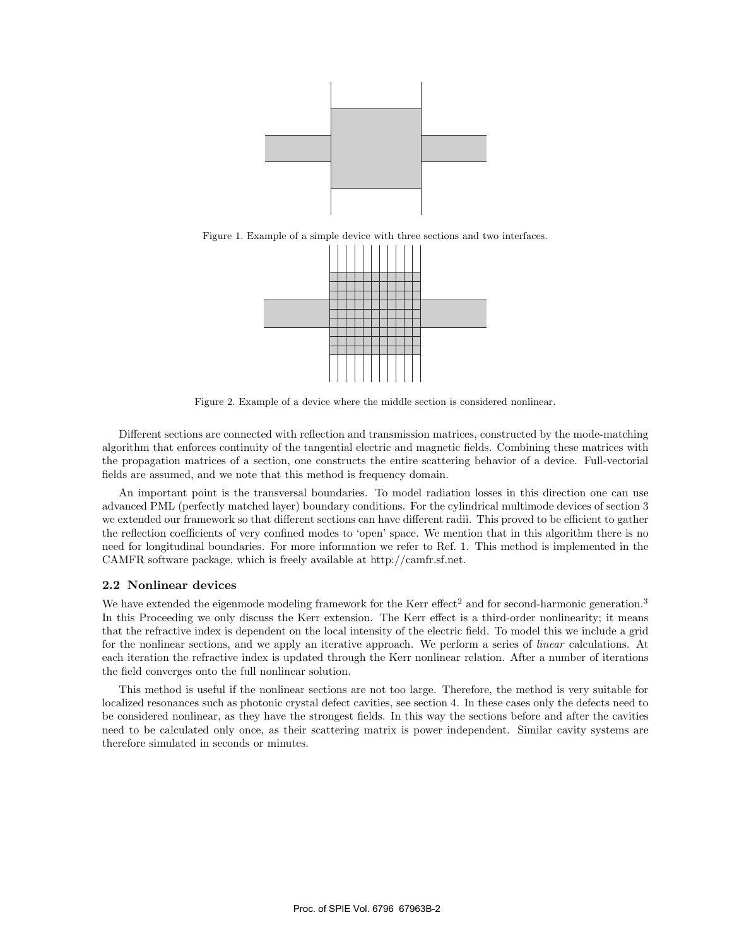

Figure 1. Example of a simple device with three sections and two interfaces.



Figure 2. Example of a device where the middle section is considered nonlinear.

Different sections are connected with reflection and transmission matrices, constructed by the mode-matching algorithm that enforces continuity of the tangential electric and magnetic fields. Combining these matrices with the propagation matrices of a section, one constructs the entire scattering behavior of a device. Full-vectorial fields are assumed, and we note that this method is frequency domain.

An important point is the transversal boundaries. To model radiation losses in this direction one can use advanced PML (perfectly matched layer) boundary conditions. For the cylindrical multimode devices of section 3 we extended our framework so that different sections can have different radii. This proved to be efficient to gather the reflection coefficients of very confined modes to 'open' space. We mention that in this algorithm there is no need for longitudinal boundaries. For more information we refer to Ref. 1. This method is implemented in the CAMFR software package, which is freely available at http://camfr.sf.net.

#### **2.2 Nonlinear devices**

We have extended the eigenmode modeling framework for the Kerr effect<sup>2</sup> and for second-harmonic generation.<sup>3</sup> In this Proceeding we only discuss the Kerr extension. The Kerr effect is a third-order nonlinearity; it means that the refractive index is dependent on the local intensity of the electric field. To model this we include a grid for the nonlinear sections, and we apply an iterative approach. We perform a series of linear calculations. At each iteration the refractive index is updated through the Kerr nonlinear relation. After a number of iterations the field converges onto the full nonlinear solution.

This method is useful if the nonlinear sections are not too large. Therefore, the method is very suitable for localized resonances such as photonic crystal defect cavities, see section 4. In these cases only the defects need to be considered nonlinear, as they have the strongest fields. In this way the sections before and after the cavities need to be calculated only once, as their scattering matrix is power independent. Similar cavity systems are therefore simulated in seconds or minutes.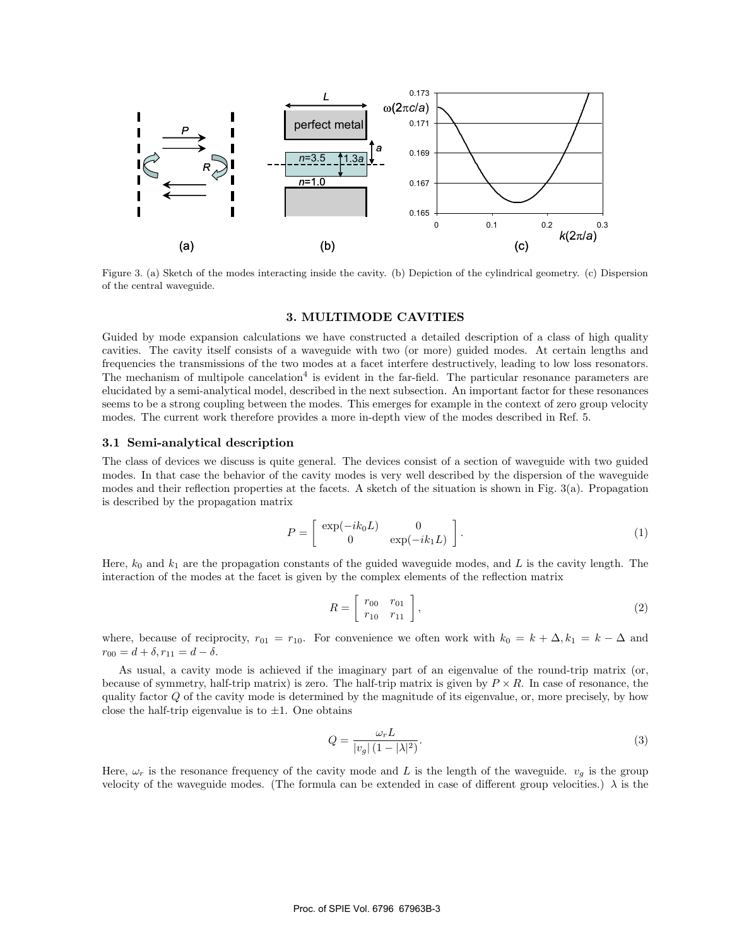

Figure 3. (a) Sketch of the modes interacting inside the cavity. (b) Depiction of the cylindrical geometry. (c) Dispersion of the central waveguide.

#### **3. MULTIMODE CAVITIES**

Guided by mode expansion calculations we have constructed a detailed description of a class of high quality cavities. The cavity itself consists of a waveguide with two (or more) guided modes. At certain lengths and frequencies the transmissions of the two modes at a facet interfere destructively, leading to low loss resonators. The mechanism of multipole cancelation<sup>4</sup> is evident in the far-field. The particular resonance parameters are elucidated by a semi-analytical model, described in the next subsection. An important factor for these resonances seems to be a strong coupling between the modes. This emerges for example in the context of zero group velocity modes. The current work therefore provides a more in-depth view of the modes described in Ref. 5.

#### **3.1 Semi-analytical description**

The class of devices we discuss is quite general. The devices consist of a section of waveguide with two guided modes. In that case the behavior of the cavity modes is very well described by the dispersion of the waveguide modes and their reflection properties at the facets. A sketch of the situation is shown in Fig.  $3(a)$ . Propagation is described by the propagation matrix

$$
P = \begin{bmatrix} \exp(-ik_0L) & 0\\ 0 & \exp(-ik_1L) \end{bmatrix}.
$$
 (1)

Here,  $k_0$  and  $k_1$  are the propagation constants of the guided waveguide modes, and L is the cavity length. The interaction of the modes at the facet is given by the complex elements of the reflection matrix

$$
R = \left[ \begin{array}{cc} r_{00} & r_{01} \\ r_{10} & r_{11} \end{array} \right],\tag{2}
$$

where, because of reciprocity,  $r_{01} = r_{10}$ . For convenience we often work with  $k_0 = k + \Delta, k_1 = k - \Delta$  and  $r_{00} = d + \delta, r_{11} = d - \delta.$ 

As usual, a cavity mode is achieved if the imaginary part of an eigenvalue of the round-trip matrix (or, because of symmetry, half-trip matrix) is zero. The half-trip matrix is given by  $P \times R$ . In case of resonance, the quality factor  $Q$  of the cavity mode is determined by the magnitude of its eigenvalue, or, more precisely, by how close the half-trip eigenvalue is to  $\pm 1$ . One obtains

$$
Q = \frac{\omega_r L}{|v_g| \left(1 - |\lambda|^2\right)}.\tag{3}
$$

Here,  $\omega_r$  is the resonance frequency of the cavity mode and L is the length of the waveguide.  $v_q$  is the group velocity of the waveguide modes. (The formula can be extended in case of different group velocities.)  $\lambda$  is the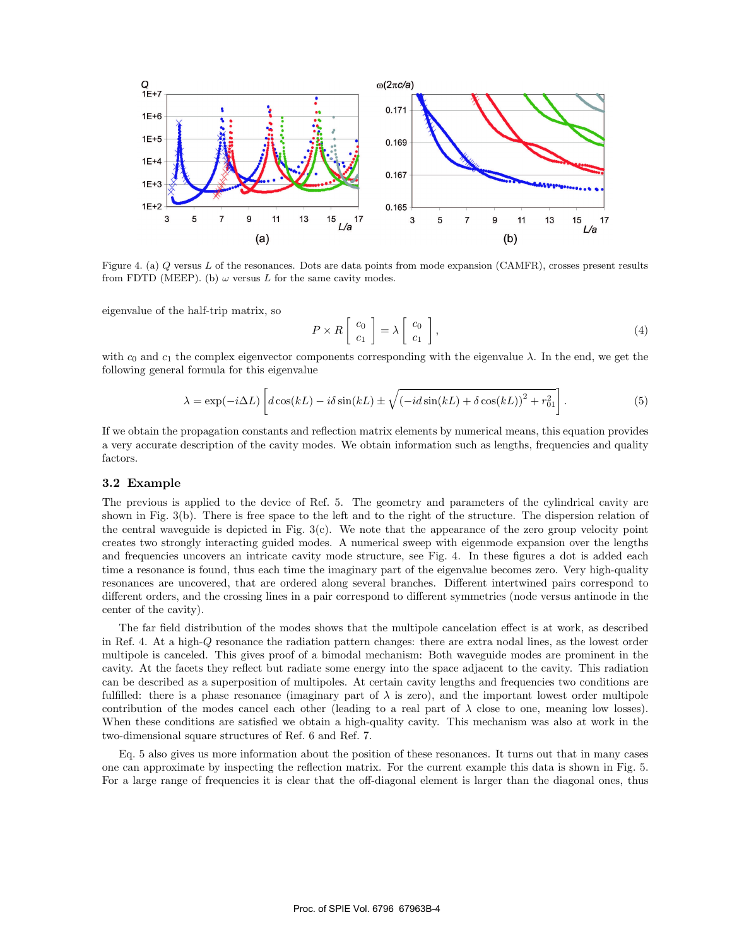

Figure 4. (a) Q versus L of the resonances. Dots are data points from mode expansion (CAMFR), crosses present results from FDTD (MEEP). (b)  $\omega$  versus L for the same cavity modes.

eigenvalue of the half-trip matrix, so

$$
P \times R \left[ \begin{array}{c} c_0 \\ c_1 \end{array} \right] = \lambda \left[ \begin{array}{c} c_0 \\ c_1 \end{array} \right],\tag{4}
$$

with  $c_0$  and  $c_1$  the complex eigenvector components corresponding with the eigenvalue  $\lambda$ . In the end, we get the following general formula for this eigenvalue

$$
\lambda = \exp(-i\Delta L) \left[ d\cos(kL) - i\delta\sin(kL) \pm \sqrt{(-id\sin(kL) + \delta\cos(kL))^2 + r_{01}^2} \right].
$$
\n(5)

If we obtain the propagation constants and reflection matrix elements by numerical means, this equation provides a very accurate description of the cavity modes. We obtain information such as lengths, frequencies and quality factors.

# **3.2 Example**

The previous is applied to the device of Ref. 5. The geometry and parameters of the cylindrical cavity are shown in Fig. 3(b). There is free space to the left and to the right of the structure. The dispersion relation of the central waveguide is depicted in Fig. 3(c). We note that the appearance of the zero group velocity point creates two strongly interacting guided modes. A numerical sweep with eigenmode expansion over the lengths and frequencies uncovers an intricate cavity mode structure, see Fig. 4. In these figures a dot is added each time a resonance is found, thus each time the imaginary part of the eigenvalue becomes zero. Very high-quality resonances are uncovered, that are ordered along several branches. Different intertwined pairs correspond to different orders, and the crossing lines in a pair correspond to different symmetries (node versus antinode in the center of the cavity).

The far field distribution of the modes shows that the multipole cancelation effect is at work, as described in Ref. 4. At a high-Q resonance the radiation pattern changes: there are extra nodal lines, as the lowest order multipole is canceled. This gives proof of a bimodal mechanism: Both waveguide modes are prominent in the cavity. At the facets they reflect but radiate some energy into the space adjacent to the cavity. This radiation can be described as a superposition of multipoles. At certain cavity lengths and frequencies two conditions are fulfilled: there is a phase resonance (imaginary part of  $\lambda$  is zero), and the important lowest order multipole contribution of the modes cancel each other (leading to a real part of  $\lambda$  close to one, meaning low losses). When these conditions are satisfied we obtain a high-quality cavity. This mechanism was also at work in the two-dimensional square structures of Ref. 6 and Ref. 7.

Eq. 5 also gives us more information about the position of these resonances. It turns out that in many cases one can approximate by inspecting the reflection matrix. For the current example this data is shown in Fig. 5. For a large range of frequencies it is clear that the off-diagonal element is larger than the diagonal ones, thus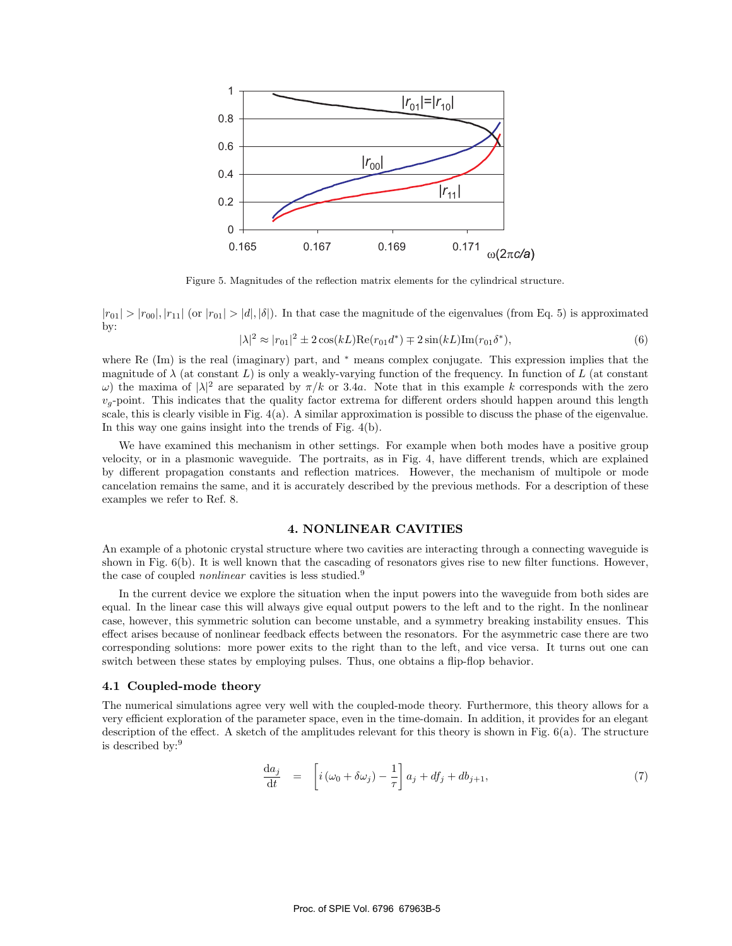

Figure 5. Magnitudes of the reflection matrix elements for the cylindrical structure.

 $|r_{01}| > |r_{00}|, |r_{11}|$  (or  $|r_{01}| > |d|, |\delta|$ ). In that case the magnitude of the eigenvalues (from Eq. 5) is approximated by:

$$
|\lambda|^2 \approx |r_{01}|^2 \pm 2\cos(kL)\text{Re}(r_{01}d^*) \mp 2\sin(kL)\text{Im}(r_{01}\delta^*),\tag{6}
$$

where Re (Im) is the real (imaginary) part, and <sup>∗</sup> means complex conjugate. This expression implies that the magnitude of  $\lambda$  (at constant L) is only a weakly-varying function of the frequency. In function of L (at constant ω) the maxima of  $|\lambda|^2$  are separated by  $\pi/k$  or 3.4a. Note that in this example k corresponds with the zero  $v_g$ -point. This indicates that the quality factor extrema for different orders should happen around this length scale, this is clearly visible in Fig. 4(a). A similar approximation is possible to discuss the phase of the eigenvalue. In this way one gains insight into the trends of Fig. 4(b).

We have examined this mechanism in other settings. For example when both modes have a positive group velocity, or in a plasmonic waveguide. The portraits, as in Fig. 4, have different trends, which are explained by different propagation constants and reflection matrices. However, the mechanism of multipole or mode cancelation remains the same, and it is accurately described by the previous methods. For a description of these examples we refer to Ref. 8.

#### **4. NONLINEAR CAVITIES**

An example of a photonic crystal structure where two cavities are interacting through a connecting waveguide is shown in Fig. 6(b). It is well known that the cascading of resonators gives rise to new filter functions. However, the case of coupled *nonlinear* cavities is less studied.<sup>9</sup>

In the current device we explore the situation when the input powers into the waveguide from both sides are equal. In the linear case this will always give equal output powers to the left and to the right. In the nonlinear case, however, this symmetric solution can become unstable, and a symmetry breaking instability ensues. This effect arises because of nonlinear feedback effects between the resonators. For the asymmetric case there are two corresponding solutions: more power exits to the right than to the left, and vice versa. It turns out one can switch between these states by employing pulses. Thus, one obtains a flip-flop behavior.

#### **4.1 Coupled-mode theory**

The numerical simulations agree very well with the coupled-mode theory. Furthermore, this theory allows for a very efficient exploration of the parameter space, even in the time-domain. In addition, it provides for an elegant description of the effect. A sketch of the amplitudes relevant for this theory is shown in Fig. 6(a). The structure is described by:<sup>9</sup>

$$
\frac{da_j}{dt} = \left[ i(\omega_0 + \delta \omega_j) - \frac{1}{\tau} \right] a_j + df_j + db_{j+1},\tag{7}
$$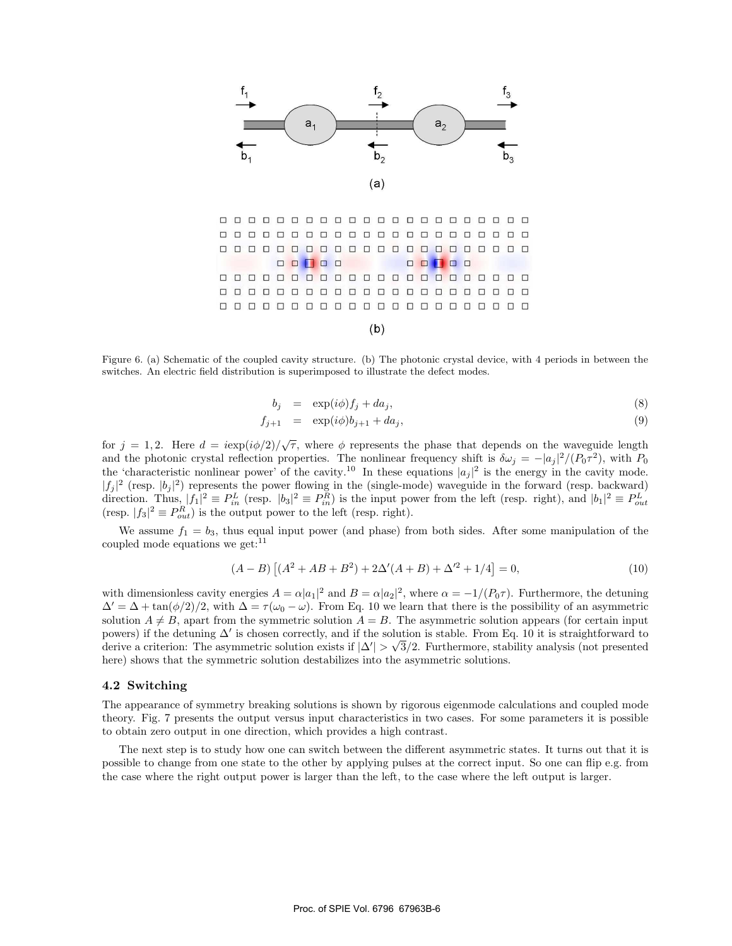

Figure 6. (a) Schematic of the coupled cavity structure. (b) The photonic crystal device, with 4 periods in between the switches. An electric field distribution is superimposed to illustrate the defect modes.

$$
b_j = \exp(i\phi)f_j + da_j,\tag{8}
$$

$$
f_{j+1} = \exp(i\phi)b_{j+1} + da_j,
$$
\n(9)

for  $j = 1, 2$ . Here  $d = i \exp(i \phi/2) / \sqrt{\tau}$ , where  $\phi$  represents the phase that depends on the waveguide length and the photonic crystal reflection properties. The nonlinear frequency shift is  $\delta \omega_j = -|a_j|^2/(P_0\tau^2)$ , with  $P_0$ <br>the inharmontarities positives power. If the country  $\frac{10}{2}$  is the contribution is the country mode the 'characteristic nonlinear power' of the cavity.<sup>10</sup> In these equations  $|a_j|^2$  is the energy in the cavity mode.<br> $|f|^2$  (reg.  $|h|^2$ ) represents the newes floring in the (single mode) represented in the forward (reg.  $|f_j|^2$  (resp.  $|b_j|^2$ ) represents the power flowing in the (single-mode) waveguide in the forward (resp. backward) direction. Thus,  $|f_1|^2 \equiv P_{in}^L$  (resp.  $|b_3|^2 \equiv P_{in}^R$ ) is the input power from the left (resp. right), and  $|b_1|^2 \equiv P_{out}^L$ <br>(resp.  $|f_3|^2 \equiv P_{out}^R$ ) is the output power to the left (resp. right).

We assume  $f_1 = b_3$ , thus equal input power (and phase) from both sides. After some manipulation of the coupled mode equations we get: $11$ 

$$
(A - B) [(A2 + AB + B2) + 2\Delta'(A + B) + \Delta'^{2} + 1/4] = 0,
$$
\n(10)

with dimensionless cavity energies  $A = \alpha |a_1|^2$  and  $B = \alpha |a_2|^2$ , where  $\alpha = -1/(P_0\tau)$ . Furthermore, the detuning  $\Delta' = \Delta + \tan(\phi/2)/2$ , with  $\Delta = \tau(\omega_0 - \omega)$ . From Eq. 10 we learn that there is the possibility of an asymmetric solution  $A \neq B$ , apart from the symmetric solution  $A = B$ . The asymmetric solution appears (for certain input powers) if the detuning  $\Delta'$  is chosen correctly, and if the solution is stable. From Eq. 10 it is straightforward to derive a criterion: The asymmetric solution exists if  $|\Delta'| > \sqrt{3}/2$ . Furthermore, stability analysis (not presented here) shows that the symmetric solution destabilizes into the asymmetric solutions.

#### **4.2 Switching**

The appearance of symmetry breaking solutions is shown by rigorous eigenmode calculations and coupled mode theory. Fig. 7 presents the output versus input characteristics in two cases. For some parameters it is possible to obtain zero output in one direction, which provides a high contrast.

The next step is to study how one can switch between the different asymmetric states. It turns out that it is possible to change from one state to the other by applying pulses at the correct input. So one can flip e.g. from the case where the right output power is larger than the left, to the case where the left output is larger.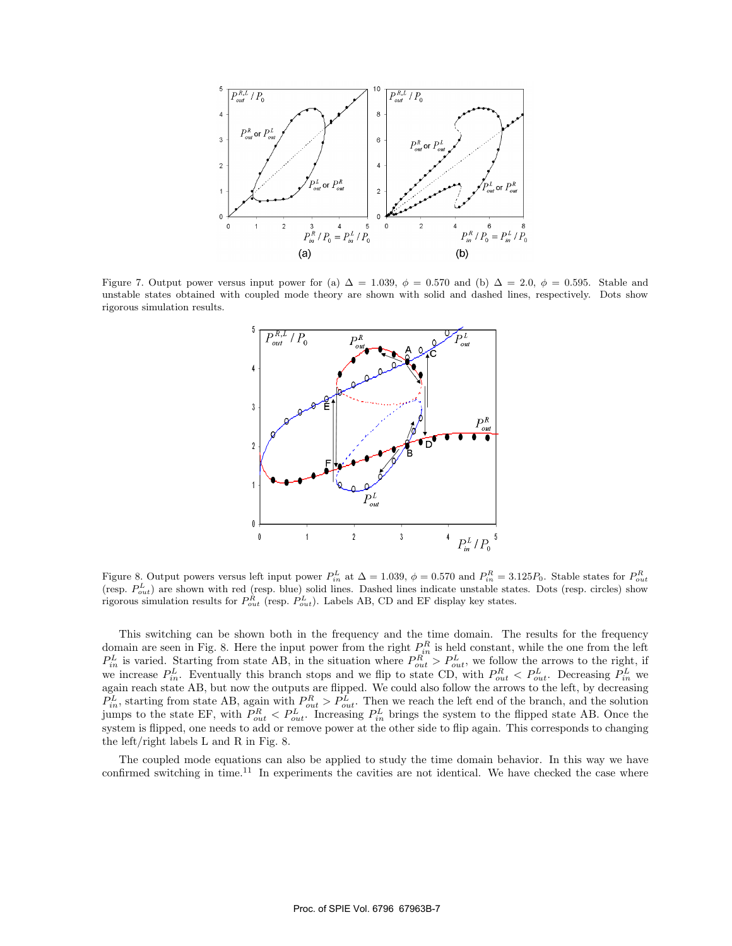

Figure 7. Output power versus input power for (a)  $\Delta = 1.039$ ,  $\phi = 0.570$  and (b)  $\Delta = 2.0$ ,  $\phi = 0.595$ . Stable and unstable states obtained with coupled mode theory are shown with solid and dashed lines, respectively. Dots show rigorous simulation results.



Figure 8. Output powers versus left input power  $P_{in}^L$  at  $\Delta = 1.039$ ,  $\phi = 0.570$  and  $P_{in}^R = 3.125P_0$ . Stable states for  $P_{out}^R$  (resp.  $P_{out}^L$ ) are shown with red (resp. blue) solid lines. Dashed lines indicate u rigorous simulation results for  $P_{out}^R$  (resp.  $P_{out}^L$ ). Labels AB, CD and EF display key states.

This switching can be shown both in the frequency and the time domain. The results for the frequency domain are seen in Fig. 8. Here the input power from the right  $P_{out}^R$  is held constant, while the one from the left  $P_{in}^L$  is varied. Starting from state AB, in the situation where  $P_{out}^R > P_{out}^L$ , we follow the arrow again reach state AB, but now the outputs are flipped. We could also follow the arrows to the left, by decreasing  $\overline{P}_{\mu}^L$ , starting from state AB, again with  $P_{out}^R > \overline{P}_{out}^L$ . Then we reach the left end of the branch, and the solution impose to the state EF, with  $P_{out}^R < P_{out}^L$ . Increasing  $P_{\mu}^L$  brings the system to the system is flipped, one needs to add or remove power at the other side to flip again. This corresponds to changing the left/right labels L and R in Fig. 8.

The coupled mode equations can also be applied to study the time domain behavior. In this way we have confirmed switching in time.<sup>11</sup> In experiments the cavities are not identical. We have checked the case where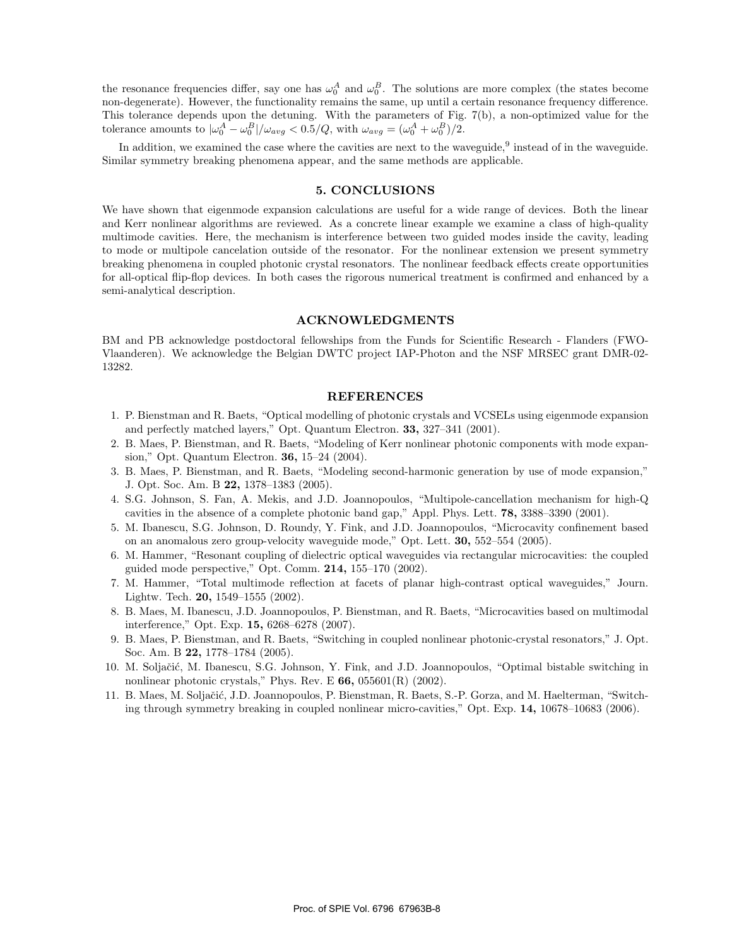the resonance frequencies differ, say one has  $\omega_0^A$  and  $\omega_0^B$ . The solutions are more complex (the states become non-degenerate). However, the functionality remains the same, up until a certain resonance frequency difference. This tolerance depends upon the detuning. With the parameters of Fig. 7(b), a non-optimized value for the tolerance amounts to  $|\omega_0^A - \omega_0^B|/\omega_{avg} < 0.5/Q$ , with  $\omega_{avg} = (\omega_0^A + \omega_0^B)/2$ .

In addition, we examined the case where the cavities are next to the waveguide.<sup>9</sup> instead of in the waveguide. Similar symmetry breaking phenomena appear, and the same methods are applicable.

#### **5. CONCLUSIONS**

We have shown that eigenmode expansion calculations are useful for a wide range of devices. Both the linear and Kerr nonlinear algorithms are reviewed. As a concrete linear example we examine a class of high-quality multimode cavities. Here, the mechanism is interference between two guided modes inside the cavity, leading to mode or multipole cancelation outside of the resonator. For the nonlinear extension we present symmetry breaking phenomena in coupled photonic crystal resonators. The nonlinear feedback effects create opportunities for all-optical flip-flop devices. In both cases the rigorous numerical treatment is confirmed and enhanced by a semi-analytical description.

#### **ACKNOWLEDGMENTS**

BM and PB acknowledge postdoctoral fellowships from the Funds for Scientific Research - Flanders (FWO-Vlaanderen). We acknowledge the Belgian DWTC project IAP-Photon and the NSF MRSEC grant DMR-02- 13282.

#### **REFERENCES**

- 1. P. Bienstman and R. Baets, "Optical modelling of photonic crystals and VCSELs using eigenmode expansion and perfectly matched layers," Opt. Quantum Electron. **33,** 327–341 (2001).
- 2. B. Maes, P. Bienstman, and R. Baets, "Modeling of Kerr nonlinear photonic components with mode expansion," Opt. Quantum Electron. **36,** 15–24 (2004).
- 3. B. Maes, P. Bienstman, and R. Baets, "Modeling second-harmonic generation by use of mode expansion," J. Opt. Soc. Am. B **22,** 1378–1383 (2005).
- 4. S.G. Johnson, S. Fan, A. Mekis, and J.D. Joannopoulos, "Multipole-cancellation mechanism for high-Q cavities in the absence of a complete photonic band gap," Appl. Phys. Lett. **78,** 3388–3390 (2001).
- 5. M. Ibanescu, S.G. Johnson, D. Roundy, Y. Fink, and J.D. Joannopoulos, "Microcavity confinement based on an anomalous zero group-velocity waveguide mode," Opt. Lett. **30,** 552–554 (2005).
- 6. M. Hammer, "Resonant coupling of dielectric optical waveguides via rectangular microcavities: the coupled guided mode perspective," Opt. Comm. **214,** 155–170 (2002).
- 7. M. Hammer, "Total multimode reflection at facets of planar high-contrast optical waveguides," Journ. Lightw. Tech. **20,** 1549–1555 (2002).
- 8. B. Maes, M. Ibanescu, J.D. Joannopoulos, P. Bienstman, and R. Baets, "Microcavities based on multimodal interference," Opt. Exp. **15,** 6268–6278 (2007).
- 9. B. Maes, P. Bienstman, and R. Baets, "Switching in coupled nonlinear photonic-crystal resonators," J. Opt. Soc. Am. B **22,** 1778–1784 (2005).
- 10. M. Soljačić, M. Ibanescu, S.G. Johnson, Y. Fink, and J.D. Joannopoulos, "Optimal bistable switching in nonlinear photonic crystals," Phys. Rev. E **66,** 055601(R) (2002).
- 11. B. Maes, M. Soljačić, J.D. Joannopoulos, P. Bienstman, R. Baets, S.-P. Gorza, and M. Haelterman, "Switching through symmetry breaking in coupled nonlinear micro-cavities," Opt. Exp. **14,** 10678–10683 (2006).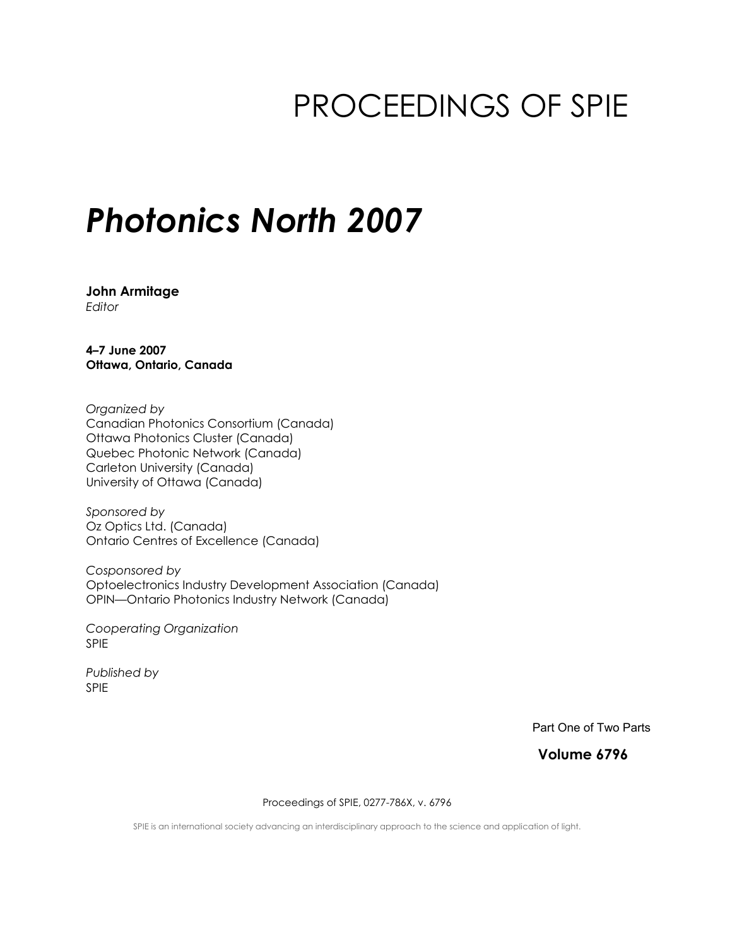# PROCEEDINGS OF SPIE

# *Photonics North 2007*

## **John Armitage**  *Editor*

**4–7 June 2007 Ottawa, Ontario, Canada** 

*Organized by* Canadian Photonics Consortium (Canada) Ottawa Photonics Cluster (Canada) Quebec Photonic Network (Canada) Carleton University (Canada) University of Ottawa (Canada)

*Sponsored by* Oz Optics Ltd. (Canada) Ontario Centres of Excellence (Canada)

*Cosponsored by* Optoelectronics Industry Development Association (Canada) OPIN—Ontario Photonics Industry Network (Canada)

*Cooperating Organization* SPIE

*Published by*  SPIE

Part One of Two Parts

**Volume 6796** 

Proceedings of SPIE, 0277-786X, v. 6796

SPIE is an international society advancing an interdisciplinary approach to the science and application of light.